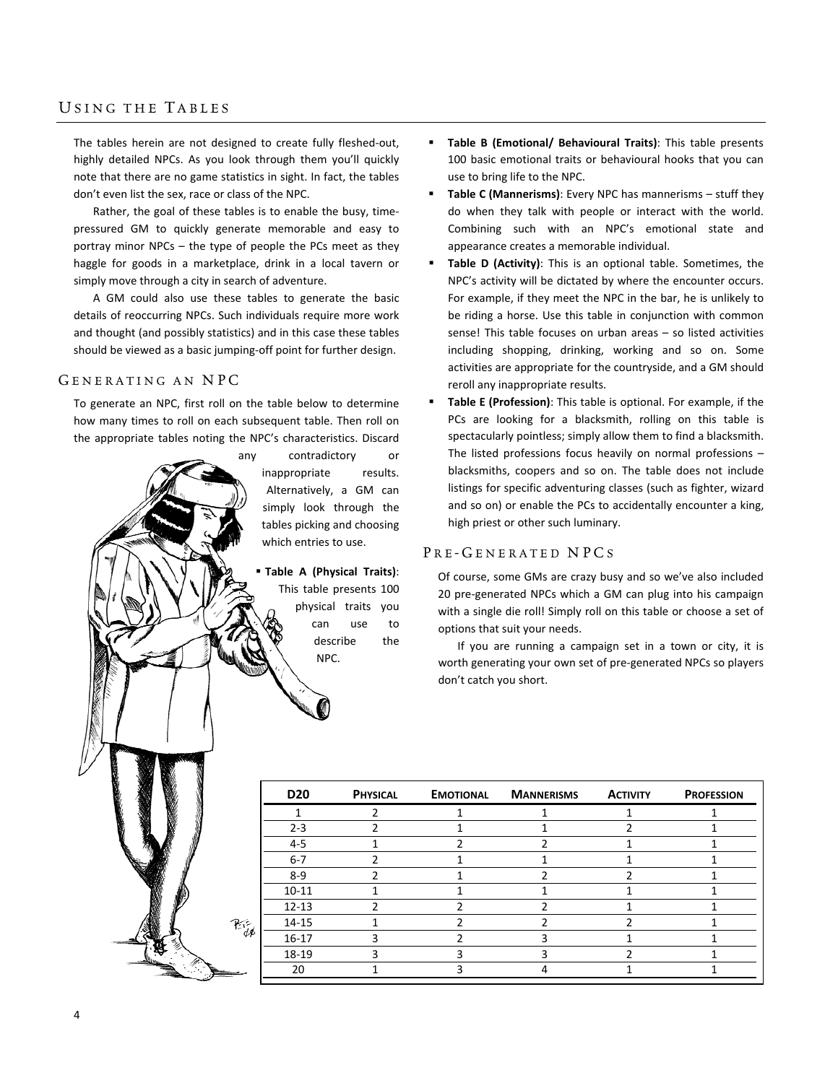## USING THE TABLES

The tables herein are not designed to create fully fleshed‐out, highly detailed NPCs. As you look through them you'll quickly note that there are no game statistics in sight. In fact, the tables don't even list the sex, race or class of the NPC.

Rather, the goal of these tables is to enable the busy, time‐ pressured GM to quickly generate memorable and easy to portray minor NPCs – the type of people the PCs meet as they haggle for goods in a marketplace, drink in a local tavern or simply move through a city in search of adventure.

A GM could also use these tables to generate the basic details of reoccurring NPCs. Such individuals require more work and thought (and possibly statistics) and in this case these tables should be viewed as a basic jumping‐off point for further design.

## GENERATING AN NPC

To generate an NPC, first roll on the table below to determine how many times to roll on each subsequent table. Then roll on the appropriate tables noting the NPC's characteristics. Discard

酝

any contradictory or inappropriate results. Alternatively, a GM can simply look through the tables picking and choosing which entries to use.

> **Table A (Physical Traits)**: This table presents 100 physical traits you can use to describe the NPC.

- **Table B (Emotional/ Behavioural Traits)**: This table presents 100 basic emotional traits or behavioural hooks that you can use to bring life to the NPC.
- **Table C (Mannerisms)**: Every NPC has mannerisms stuff they do when they talk with people or interact with the world. Combining such with an NPC's emotional state and appearance creates a memorable individual.
- **Table D (Activity)**: This is an optional table. Sometimes, the NPC's activity will be dictated by where the encounter occurs. For example, if they meet the NPC in the bar, he is unlikely to be riding a horse. Use this table in conjunction with common sense! This table focuses on urban areas – so listed activities including shopping, drinking, working and so on. Some activities are appropriate for the countryside, and a GM should reroll any inappropriate results.
- **Table E (Profession)**: This table is optional. For example, if the PCs are looking for a blacksmith, rolling on this table is spectacularly pointless; simply allow them to find a blacksmith. The listed professions focus heavily on normal professions – blacksmiths, coopers and so on. The table does not include listings for specific adventuring classes (such as fighter, wizard and so on) or enable the PCs to accidentally encounter a king, high priest or other such luminary.

## PRE-GENERATED NPCS

Of course, some GMs are crazy busy and so we've also included 20 pre‐generated NPCs which a GM can plug into his campaign with a single die roll! Simply roll on this table or choose a set of options that suit your needs.

If you are running a campaign set in a town or city, it is worth generating your own set of pre‐generated NPCs so players don't catch you short.

| <b>D20</b> | <b>PHYSICAL</b> | <b>EMOTIONAL</b> | <b>MANNERISMS</b> | <b>ACTIVITY</b> | <b>PROFESSION</b> |
|------------|-----------------|------------------|-------------------|-----------------|-------------------|
|            |                 |                  |                   |                 |                   |
| $2 - 3$    |                 |                  |                   |                 |                   |
| $4 - 5$    |                 |                  |                   |                 |                   |
| $6 - 7$    |                 |                  |                   |                 |                   |
| $8 - 9$    |                 |                  |                   |                 |                   |
| $10 - 11$  |                 |                  |                   |                 |                   |
| $12 - 13$  |                 |                  |                   |                 |                   |
| $14 - 15$  |                 |                  |                   |                 |                   |
| $16 - 17$  |                 |                  |                   |                 |                   |
| 18-19      |                 |                  |                   |                 |                   |
| 20         |                 |                  |                   |                 |                   |